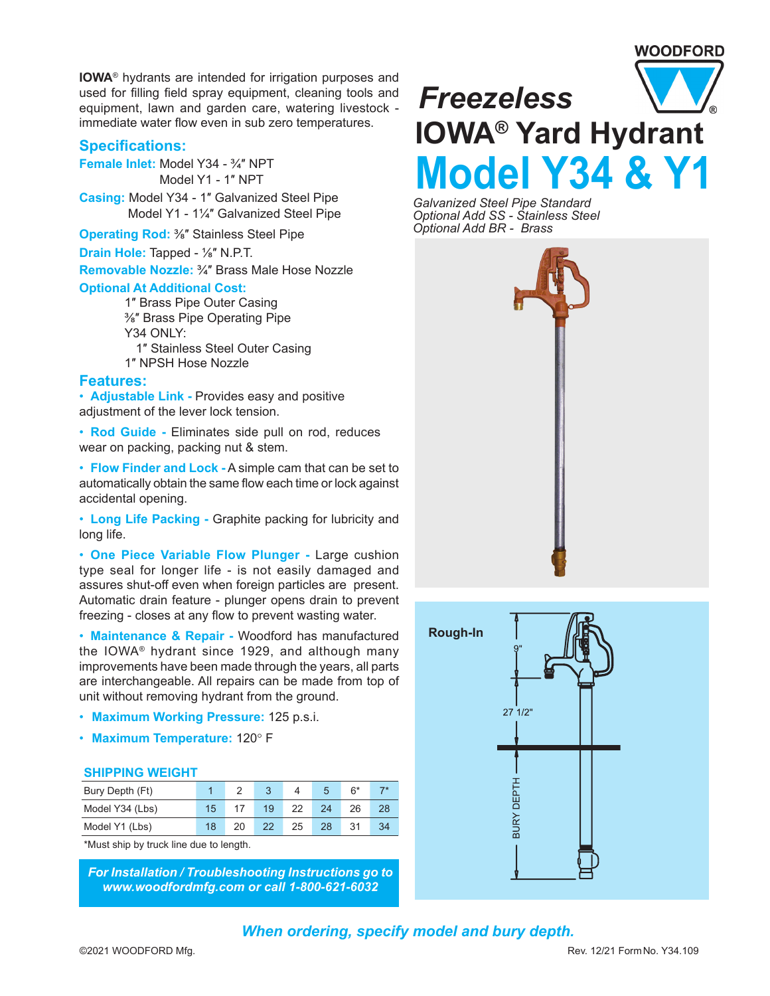# WOODFORD

**IOWA**® hydrants are intended for irrigation purposes and used for filling field spray equipment, cleaning tools and equipment, lawn and garden care, watering livestock immediate water flow even in sub zero temperatures.

### **Specifications:**

**Female Inlet:** Model Y34 - ¾″ NPT Model Y1 - 1″ NPT

**Casing:** Model Y34 - 1″ Galvanized Steel Pipe Model Y1 - 1¼″ Galvanized Steel Pipe

**Operating Rod: 3/6"** Stainless Steel Pipe

**Drain Hole:** Tapped - ⅛″ N.P.T.

**Removable Nozzle:** ¾″ Brass Male Hose Nozzle

#### **Optional At Additional Cost:**

1″ Brass Pipe Outer Casing ⅜″ Brass Pipe Operating Pipe Y34 ONLY: 1″ Stainless Steel Outer Casing 1″ NPSH Hose Nozzle

#### **Features:**

• **Adjustable Link -** Provides easy and positive adiustment of the lever lock tension.

• **Rod Guide -** Eliminates side pull on rod, reduces wear on packing, packing nut & stem.

• **Flow Finder and Lock -** A simple cam that can be set to automatically obtain the same flow each time or lock against accidental opening.

• **Long Life Packing -** Graphite packing for lubricity and long life.

• **One Piece Variable Flow Plunger -** Large cushion type seal for longer life - is not easily damaged and assures shut-off even when foreign particles are present. Automatic drain feature - plunger opens drain to prevent freezing - closes at any flow to prevent wasting water.

• **Maintenance & Repair -** Woodford has manufactured the IOWA® hydrant since 1929, and although many improvements have been made through the years, all parts are interchangeable. All repairs can be made from top of unit without removing hydrant from the ground.

- **Maximum Working Pressure:** 125 p.s.i.
- **Maximum Temperature:** 120° F

#### **SHIPPING WEIGHT**

| Bury Depth (Ft) |                 |    |    |    |    | $6*$ |    |
|-----------------|-----------------|----|----|----|----|------|----|
| Model Y34 (Lbs) | 15 <sub>1</sub> |    | 19 | 22 | 24 | 26   |    |
| Model Y1 (Lbs)  | 18              | 20 | 22 | 25 | 28 | 31   | 34 |

\*Must ship by truck line due to length.

*For Installation / Troubleshooting Instructions go to www.woodfordmfg.com or call 1-800-621-6032*



*Galvanized Steel Pipe Standard Optional Add SS - Stainless Steel Optional Add BR - Brass*



*When ordering, specify model and bury depth.*